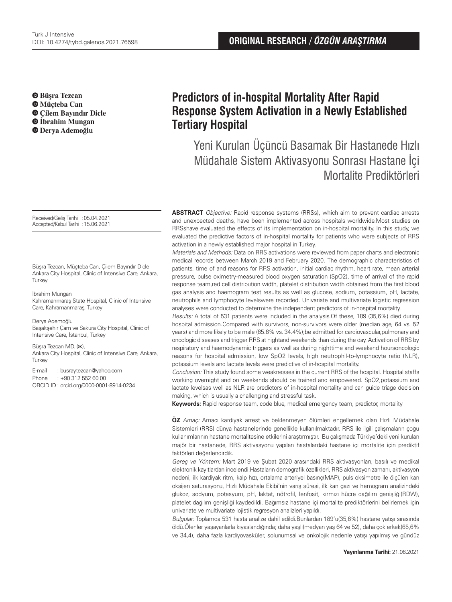**Büşra Tezcan Müçteba Can Çilem Bayındır Dicle İbrahim Mungan Derya Ademoğlu**

Received/Geliş Tarihi :05.04.2021 Accepted/Kabul Tarihi :15.06.2021

Büşra Tezcan, Müçteba Can, Çilem Bayındır Dicle Ankara City Hospital, Clinic of Intensive Care, Ankara, **Turkey** 

İbrahim Mungan

Kahramanmaraş State Hospital, Clinic of Intensive Care, Kahramanmaraş, Turkey

Derya Ademoğlu

Başakşehir Çam ve Sakura City Hospital, Clinic of Intensive Care, İstanbul, Turkey

Büşra Tezcan MD, (**✉**),

Ankara City Hospital, Clinic of Intensive Care, Ankara, **Turkey** 

E-mail : busraytezcan@yahoo.com

Phone : +90 312 552 60 00

ORCID ID : orcid.org/0000-0001-8914-0234

# **Predictors of in-hospital Mortality After Rapid Response System Activation in a Newly Established Tertiary Hospital**

Yeni Kurulan Üçüncü Basamak Bir Hastanede Hızlı Müdahale Sistem Aktivasyonu Sonrası Hastane İçi Mortalite Prediktörleri

**ABSTRACT** Objective: Rapid response systems (RRSs), which aim to prevent cardiac arrests and unexpected deaths, have been implemented across hospitals worldwide.Most studies on RRSshave evaluated the effects of its implementation on in-hospital mortality. In this study, we evaluated the predictive factors of in-hospital mortality for patients who were subjects of RRS activation in a newly established major hospital in Turkey.

Materials and Methods: Data on RRS activations were reviewed from paper charts and electronic medical records between March 2019 and February 2020. The demographic characteristics of patients, time of and reasons for RRS activation, initial cardiac rhythm, heart rate, mean arterial pressure, pulse oximetry-measured blood oxygen saturation (SpO2), time of arrival of the rapid response team,red cell distribution width, platelet distribution width obtained from the first blood gas analysis and haemogram test results as well as glucose, sodium, potassium, pH, lactate, neutrophils and lymphocyte levelswere recorded. Univariate and multivariate logistic regression analyses were conducted to determine the independent predictors of in-hospital mortality.

Results: A total of 531 patients were included in the analysis.Of these, 189 (35,6%) died during hospital admission.Compared with survivors, non-survivors were older (median age, 64 vs. 52 years) and more likely to be male (65.6% vs. 34.4%);be admitted for cardiovascular,pulmonary and oncologic diseases and trigger RRS at nightand weekends than during the day. Activation of RRS by respiratory and haemodynamic triggers as well as during nighttime and weekend hoursoncologic reasons for hospital admission, low SpO2 levels, high neutrophil-to-lymphocyte ratio (NLR), potassium levels and lactate levels were predictive of in-hospital mortality.

Conclusion: This study found some weaknesses in the current RRS of the hospital. Hospital staffs working overnight and on weekends should be trained and empowered. SpO2,potassium and lactate levelsas well as NLR are predictors of in-hospital mortality and can guide triage decision making, which is usually a challenging and stressful task.

**Keywords:** Rapid response team, code blue, medical emergency team, predictor, mortality

**ÖZ** Amaç: Amacı kardiyak arrest ve beklenmeyen ölümleri engellemek olan Hızlı Müdahale Sistemleri (RRS) dünya hastanelerinde genellikle kullanılmaktadır. RRS ile ilgili çalışmaların çoğu kullanımlarının hastane mortalitesine etkilerini araştırmıştır. Bu çalışmada Türkiye'deki yeni kurulan majör bir hastanede, RRS aktivasyonu yapılan hastalardaki hastane içi mortalite için prediktif faktörleri değerlendirdik.

Gereç ve Yöntem: Mart 2019 ve Şubat 2020 arasındaki RRS aktivasyonları, basılı ve medikal elektronik kayıtlardan incelendi.Hastaların demografik özellikleri, RRS aktivasyon zamanı, aktivasyon nedeni, ilk kardiyak ritm, kalp hızı, ortalama arteriyel basınç(MAP), puls oksimetre ile ölçülen kan oksijen saturasyonu, Hızlı Müdahale Ekibi'nin varış süresi, ilk kan gazı ve hemogram analizindeki glukoz, sodyum, potasyum, pH, laktat, nötrofil, lenfosit, kırmızı hücre dağılım genişliği(RDW), platelet dağılım genişliği kaydedildi. Bağımsız hastane içi mortalite prediktörlerini belirlemek için univariate ve multivariate lojistik regresyon analizleri yapıldı.

Bulgular: Toplamda 531 hasta analize dahil edildi.Bunlardan 189'u(35,6%) hastane yatışı sırasında öldü.Ölenler yaşayanlarla kıyaslandığında; daha yaşlı(medyan yaş 64 ve 52), daha çok erkek(65,6% ve 34,4), daha fazla kardiyovasküler, solunumsal ve onkolojik nedenle yatışı yapılmış ve gündüz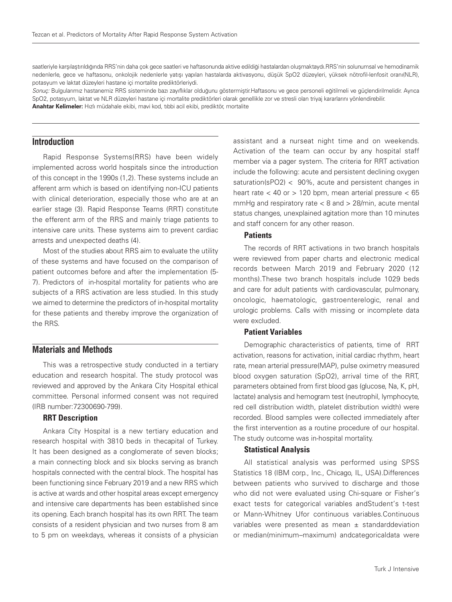saatleriyle karşılaştırıldığında RRS'nin daha çok gece saatleri ve haftasonunda aktive edildiği hastalardan oluşmaktaydı.RRS'nin solunumsal ve hemodinamik nedenlerle, gece ve haftasonu, onkolojik nedenlerle yatışı yapılan hastalarda aktivasyonu, düşük SpO2 düzeyleri, yüksek nötrofil-lenfosit oranı(NLR), potasyum ve laktat düzeyleri hastane içi mortalite prediktörleriydi.

Sonuç: Bulgularımız hastanemiz RRS sisteminde bazı zayıflıklar olduğunu göstermiştir.Haftasonu ve gece personeli eğitilmeli ve güçlendirilmelidir. Ayrıca SpO2, potasyum, laktat ve NLR düzeyleri hastane içi mortalite prediktörleri olarak genellikle zor ve stresli olan triyaj kararlarını yönlendirebilir. **Anahtar Kelimeler:** Hızlı müdahale ekibi, mavi kod, tıbbi acil ekibi, prediktör, mortalite

# **Introduction**

Rapid Response Systems(RRS) have been widely implemented across world hospitals since the introduction of this concept in the 1990s (1,2). These systems include an afferent arm which is based on identifying non-ICU patients with clinical deterioration, especially those who are at an earlier stage (3). Rapid Response Teams (RRT) constitute the efferent arm of the RRS and mainly triage patients to intensive care units. These systems aim to prevent cardiac arrests and unexpected deaths (4).

Most of the studies about RRS aim to evaluate the utility of these systems and have focused on the comparison of patient outcomes before and after the implementation (5- 7). Predictors of in-hospital mortality for patients who are subjects of a RRS activation are less studied. In this study we aimed to determine the predictors of in-hospital mortality for these patients and thereby improve the organization of the RRS.

# **Materials and Methods**

This was a retrospective study conducted in a tertiary education and research hospital. The study protocol was reviewed and approved by the Ankara City Hospital ethical committee. Personal informed consent was not required (IRB number:72300690-799).

### RRT Description

Ankara City Hospital is a new tertiary education and research hospital with 3810 beds in thecapital of Turkey. It has been designed as a conglomerate of seven blocks; a main connecting block and six blocks serving as branch hospitals connected with the central block. The hospital has been functioning since February 2019 and a new RRS which is active at wards and other hospital areas except emergency and intensive care departments has been established since its opening. Each branch hospital has its own RRT. The team consists of a resident physician and two nurses from 8 am to 5 pm on weekdays, whereas it consists of a physician

assistant and a nurseat night time and on weekends. Activation of the team can occur by any hospital staff member via a pager system. The criteria for RRT activation include the following: acute and persistent declining oxygen saturation(sPO2) < 90%, acute and persistent changes in heart rate  $<$  40 or  $>$  120 bpm, mean arterial pressure  $<$  65 mmHg and respiratory rate  $<$  8 and  $>$  28/min, acute mental status changes, unexplained agitation more than 10 minutes and staff concern for any other reason.

#### **Patients**

The records of RRT activations in two branch hospitals were reviewed from paper charts and electronic medical records between March 2019 and February 2020 (12 months).These two branch hospitals include 1029 beds and care for adult patients with cardiovascular, pulmonary, oncologic, haematologic, gastroenterelogic, renal and urologic problems. Calls with missing or incomplete data were excluded.

### Patient Variables

Demographic characteristics of patients, time of RRT activation, reasons for activation, initial cardiac rhythm, heart rate, mean arterial pressure(MAP), pulse oximetry measured blood oxygen saturation (SpO2), arrival time of the RRT, parameters obtained from first blood gas (glucose, Na, K, pH, lactate) analysis and hemogram test (neutrophil, lymphocyte, red cell distribution width, platelet distribution width) were recorded. Blood samples were collected immediately after the first intervention as a routine procedure of our hospital. The study outcome was in-hospital mortality.

### Statistical Analysis

All statistical analysis was performed using SPSS Statistics 18 (IBM corp., Inc., Chicago, IL, USA).Differences between patients who survived to discharge and those who did not were evaluated using Chi-square or Fisher's exact tests for categorical variables andStudent's t-test or Mann-Whitney Ufor continuous variables.Continuous variables were presented as mean  $\pm$  standarddeviation or median(minimum–maximum) andcategoricaldata were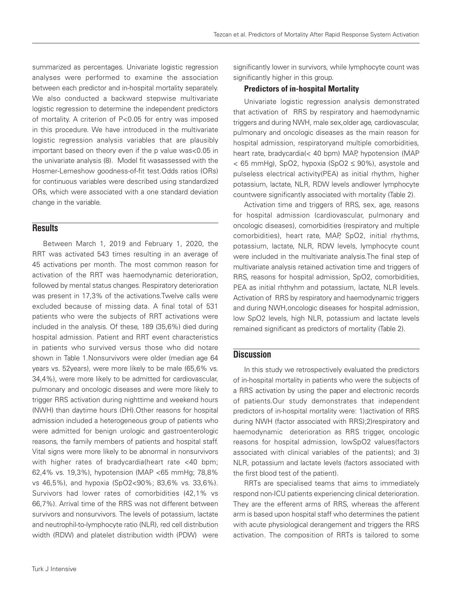summarized as percentages. Univariate logistic regression analyses were performed to examine the association between each predictor and in-hospital mortality separately. We also conducted a backward stepwise multivariate logistic regression to determine the independent predictors of mortality. A criterion of P<0.05 for entry was imposed in this procedure. We have introduced in the multivariate logistic regression analysis variables that are plausibly important based on theory even if the p value was<0.05 in the univariate analysis (8). Model fit wasassessed with the Hosmer-Lemeshow goodness-of-fit test.Odds ratios (ORs) for continuous variables were described using standardized ORs, which were associated with a one standard deviation change in the variable.

# **Results**

Between March 1, 2019 and February 1, 2020, the RRT was activated 543 times resulting in an average of 45 activations per month. The most common reason for activation of the RRT was haemodynamic deterioration, followed by mental status changes. Respiratory deterioration was present in 17,3% of the activations.Twelve calls were excluded because of missing data. A final total of 531 patients who were the subjects of RRT activations were included in the analysis. Of these, 189 (35,6%) died during hospital admission. Patient and RRT event characteristics in patients who survived versus those who did notare shown in Table 1.Nonsurvivors were older (median age 64 years vs. 52years), were more likely to be male (65,6% vs. 34,4%), were more likely to be admitted for cardiovascular, pulmonary and oncologic diseases and were more likely to trigger RRS activation during nighttime and weekend hours (NWH) than daytime hours (DH).Other reasons for hospital admission included a heterogeneous group of patients who were admitted for benign urologic and gastroenterologic reasons, the family members of patients and hospital staff. Vital signs were more likely to be abnormal in nonsurvivors with higher rates of bradycardia(heart rate <40 bpm; 62,4% vs. 19,3%), hypotension (MAP <65 mmHg; 78,8% vs 46,5%), and hypoxia (SpO2<90%; 83,6% vs. 33,6%). Survivors had lower rates of comorbidities (42,1% vs 66,7%). Arrival time of the RRS was not different between survivors and nonsurvivors. The levels of potassium, lactate and neutrophil-to-lymphocyte ratio (NLR), red cell distribution width (RDW) and platelet distribution width (PDW) were

significantly lower in survivors, while lymphocyte count was significantly higher in this group.

### Predictors of in-hospital Mortality

Univariate logistic regression analysis demonstrated that activation of RRS by respiratory and haemodynamic triggers and during NWH, male sex,older age, cardiovascular, pulmonary and oncologic diseases as the main reason for hospital admission, respiratoryand multiple comorbidities, heart rate, bradycardia(< 40 bpm) MAP, hypotension (MAP  $<$  65 mmHg), SpO2, hypoxia (SpO2  $\leq$  90%), asystole and pulseless electrical activity(PEA) as initial rhythm, higher potassium, lactate, NLR, RDW levels andlower lymphocyte countwere significantly associated with mortality (Table 2).

Activation time and triggers of RRS, sex, age, reasons for hospital admission (cardiovascular, pulmonary and oncologic diseases), comorbidities (respiratory and multiple comorbidities), heart rate, MAP, SpO2, initial rhythms, potassium, lactate, NLR, RDW levels, lymphocyte count were included in the multivariate analysis.The final step of multivariate analysis retained activation time and triggers of RRS, reasons for hospital admission, SpO2, comorbidities, PEA as initial rhthyhm and potassium, lactate, NLR levels. Activation of RRS by respiratory and haemodynamic triggers and during NWH,oncologic diseases for hospital admission, low SpO2 levels, high NLR, potassium and lactate levels remained significant as predictors of mortality (Table 2).

# **Discussion**

In this study we retrospectively evaluated the predictors of in-hospital mortality in patients who were the subjects of a RRS activation by using the paper and electronic records of patients.Our study demonstrates that independent predictors of in-hospital mortality were: 1)activation of RRS during NWH (factor associated with RRS);2)respiratory and haemodynamic deterioration as RRS trigger, oncologic reasons for hospital admission, lowSpO2 values(factors associated with clinical variables of the patients); and 3) NLR, potassium and lactate levels (factors associated with the first blood test of the patient).

RRTs are specialised teams that aims to immediately respond non-ICU patients experiencing clinical deterioration. They are the efferent arms of RRS, whereas the afferent arm is based upon hospital staff who determines the patient with acute physiological derangement and triggers the RRS activation. The composition of RRTs is tailored to some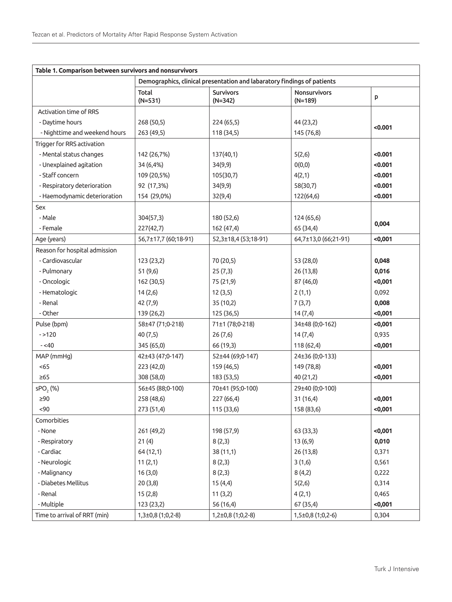| Table 1. Comparison between survivors and nonsurvivors |                                                                         |                               |                           |         |  |  |  |
|--------------------------------------------------------|-------------------------------------------------------------------------|-------------------------------|---------------------------|---------|--|--|--|
|                                                        | Demographics, clinical presentation and labaratory findings of patients |                               |                           |         |  |  |  |
|                                                        | Total<br>$(N=531)$                                                      | <b>Survivors</b><br>$(N=342)$ | Nonsurvivors<br>$(N=189)$ | p       |  |  |  |
| Activation time of RRS                                 |                                                                         |                               |                           |         |  |  |  |
| - Daytime hours                                        | 268 (50,5)                                                              | 224 (65,5)                    | 44 (23,2)                 |         |  |  |  |
| - Nighttime and weekend hours                          | 263 (49,5)                                                              | 118 (34,5)                    | 145 (76,8)                | < 0.001 |  |  |  |
| Trigger for RRS activation                             |                                                                         |                               |                           |         |  |  |  |
| - Mental status changes                                | 142 (26,7%)                                                             | 137(40,1)                     | 5(2,6)                    | < 0.001 |  |  |  |
| - Unexplained agitation                                | 34 (6,4%)                                                               | 34(9,9)                       | O(0,0)                    | < 0.001 |  |  |  |
| - Staff concern                                        | 109 (20,5%)                                                             | 105(30,7)                     | 4(2,1)                    | < 0.001 |  |  |  |
| - Respiratory deterioration                            | 92 (17,3%)                                                              | 34(9,9)                       | 58(30,7)                  | < 0.001 |  |  |  |
| - Haemodynamic deterioration                           | 154 (29,0%)                                                             | 32(9,4)                       | 122(64,6)                 | < 0.001 |  |  |  |
| Sex                                                    |                                                                         |                               |                           |         |  |  |  |
| - Male                                                 | 304(57,3)                                                               | 180 (52,6)                    | 124 (65,6)                |         |  |  |  |
| - Female                                               | 227(42,7)                                                               | 162 (47,4)                    | 65 (34,4)                 | 0,004   |  |  |  |
| Age (years)                                            | 56,7±17,7 (60;18-91)                                                    | 52,3±18,4 (53;18-91)          | 64,7±13,0 (66;21-91)      | <0,001  |  |  |  |
| Reason for hospital admission                          |                                                                         |                               |                           |         |  |  |  |
| - Cardiovascular                                       | 123(23,2)                                                               | 70 (20,5)                     | 53 (28,0)                 | 0,048   |  |  |  |
| - Pulmonary                                            | 51 (9,6)                                                                | 25(7,3)                       | 26(13,8)                  | 0,016   |  |  |  |
| - Oncologic                                            | 162 (30,5)                                                              | 75 (21,9)                     | 87 (46,0)                 | <0,001  |  |  |  |
| - Hematologic                                          | 14(2,6)                                                                 | 12(3,5)                       | 2(1,1)                    | 0,092   |  |  |  |
| - Renal                                                | 42 (7,9)                                                                | 35 (10,2)                     | 7(3,7)                    | 0,008   |  |  |  |
| - Other                                                | 139 (26,2)                                                              | 125 (36,5)                    | 14(7,4)                   | <0,001  |  |  |  |
| Pulse (bpm)                                            | 58±47 (71;0-218)                                                        | 71±1 (78;0-218)               | 34±48 (0;0-162)           | <0,001  |  |  |  |
| $- > 120$                                              | 40(7,5)                                                                 | 26(7,6)                       | 14(7,4)                   | 0,935   |  |  |  |
| $-<$ 40                                                | 345 (65,0)                                                              | 66 (19,3)                     | 118(62,4)                 | <0,001  |  |  |  |
| MAP (mmHg)                                             | 42±43 (47;0-147)                                                        | 52±44 (69;0-147)              | 24±36 (0;0-133)           |         |  |  |  |
| <65                                                    | 223 (42,0)                                                              | 159 (46,5)                    | 149 (78,8)                | <0,001  |  |  |  |
| $\geq 65$                                              | 308 (58,0)                                                              | 183 (53,5)                    | 40 (21,2)                 | <0,001  |  |  |  |
| sPO <sub>2</sub> (%)                                   | 56±45 (88;0-100)                                                        | 70±41 (95;0-100)              | 29±40 (0;0-100)           |         |  |  |  |
| $\geq 90$                                              | 258 (48,6)                                                              | 227 (66,4)                    | 31(16,4)                  | <0,001  |  |  |  |
| <90                                                    | 273 (51,4)                                                              | 115 (33,6)                    | 158 (83,6)                | <0,001  |  |  |  |
| Comorbities                                            |                                                                         |                               |                           |         |  |  |  |
| - None                                                 | 261 (49,2)                                                              | 198 (57,9)                    | 63 (33,3)                 | <0,001  |  |  |  |
| - Respiratory                                          | 21(4)                                                                   | 8(2,3)                        | 13(6,9)                   | 0,010   |  |  |  |
| - Cardiac                                              | 64 (12,1)                                                               | 38 (11,1)                     | 26(13,8)                  | 0,371   |  |  |  |
| - Neurologic                                           | 11(2,1)                                                                 | 8(2,3)                        | 3(1,6)                    | 0,561   |  |  |  |
| - Malignancy                                           | 16(3,0)                                                                 | 8(2,3)                        | 8(4,2)                    | 0,222   |  |  |  |
| - Diabetes Mellitus                                    | 20(3,8)                                                                 | 15(4,4)                       | 5(2,6)                    | 0,314   |  |  |  |
| - Renal                                                | 15(2,8)                                                                 | 11(3,2)                       | 4(2,1)                    | 0,465   |  |  |  |
| - Multiple                                             | 123 (23,2)                                                              | 56 (16,4)                     | 67 (35,4)                 | <0,001  |  |  |  |
| Time to arrival of RRT (min)                           | $1,3\pm0,8(1;0,2-8)$                                                    | 1,2±0,8 (1;0,2-8)             | 1,5±0,8 (1;0,2-6)         | 0,304   |  |  |  |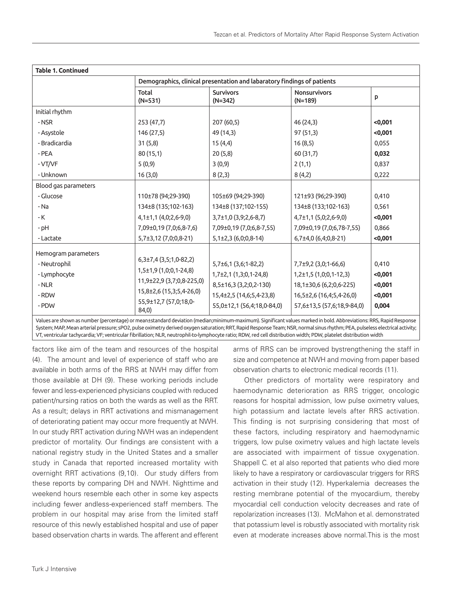| <b>Table 1. Continued</b> |                                                                         |                               |                                  |         |  |  |
|---------------------------|-------------------------------------------------------------------------|-------------------------------|----------------------------------|---------|--|--|
|                           | Demographics, clinical presentation and labaratory findings of patients |                               |                                  |         |  |  |
|                           | Total<br>$(N=531)$                                                      | <b>Survivors</b><br>$(N=342)$ | <b>Nonsurvivors</b><br>$(N=189)$ | p       |  |  |
| Initial rhythm            |                                                                         |                               |                                  |         |  |  |
| - NSR                     | 253(47,7)                                                               | 207(60,5)                     | 46 (24,3)                        | <0,001  |  |  |
| - Asystole                | 146 (27,5)                                                              | 49 (14,3)                     | 97 (51,3)                        | <0,001  |  |  |
| - Bradicardia             | 31(5,8)                                                                 | 15(4,4)                       | 16(8,5)                          | 0,055   |  |  |
| - PEA                     | 80(15,1)                                                                | 20(5,8)                       | 60 (31,7)                        | 0,032   |  |  |
| - VT/VF                   | 5(0,9)                                                                  | 3(0,9)                        | 2(1,1)                           | 0,837   |  |  |
| - Unknown                 | 16(3,0)                                                                 | 8(2,3)                        | 8(4,2)                           | 0,222   |  |  |
| Blood gas parameters      |                                                                         |                               |                                  |         |  |  |
| - Glucose                 | 110±78 (94;29-390)                                                      | 105±69 (94;29-390)            | 121±93 (96;29-390)               | 0,410   |  |  |
| - Na                      | 134±8 (135;102-163)                                                     | 134±8 (137;102-155)           | 134±8 (133;102-163)              | 0,561   |  |  |
| - K                       | $4,1\pm1,1$ $(4,0;2,6-9,0)$                                             | $3,7\pm1,0$ (3,9;2,6-8,7)     | $4,7\pm1,1$ (5,0;2,6-9,0)        | <0,001  |  |  |
| - pH                      | 7,09±0,19 (7,0;6,8-7,6)                                                 | 7,09±0,19 (7,0;6,8-7,55)      | 7,09±0,19 (7,0;6,78-7,55)        | 0,866   |  |  |
| - Lactate                 | 5,7±3,12 (7,0;0,8-21)                                                   | $5,1\pm2,3(6,0;0,8-14)$       | $6,7\pm4,0$ (6,4;0,8-21)         | <0,001  |  |  |
| Hemogram parameters       |                                                                         |                               |                                  |         |  |  |
| - Neutrophil              | $6,3\pm7,4$ (3,5;1,0-82,2)                                              | $5,7\pm6,1(3,6;1-82,2)$       | $7,7\pm9,2$ (3,0;1-66,6)         | 0,410   |  |  |
| - Lymphocyte              | 1,5±1,9 (1,0;0,1-24,8)                                                  | $1,7\pm2,1(1,3;0,1-24,8)$     | $1,2\pm1,5(1,0;0,1-12,3)$        | <0,001  |  |  |
| $-NLR$                    | 11,9±22,9 (3,7;0,8-225,0)                                               | 8,5±16,3 (3,2;0,2-130)        | 18,1±30,6 (6,2;0,6-225)          | <0,001  |  |  |
| - RDW                     | 15,8±2,6 (15,3;5,4-26,0)                                                | 15,4±2,5 (14,6;5,4-23,8)      | 16,5±2,6 (16,4;5,4-26,0)         | < 0,001 |  |  |
| - PDW                     | 55,9±12,7 (57,0;18,0-<br>84,0)                                          | 55,0±12,1 (56,4;18,0-84,0)    | 57,6±13,5 (57,6;18,9-84,0)       | 0,004   |  |  |

Values are shown as number (percentage) or mean±standard deviation (median;minimum-maximum). Significant values marked in bold. Abbreviations: RRS, Rapid Response System; MAP, Mean arterial pressure; sPO2, pulse oximetry derived oxygen saturation; RRT, Rapid Response Team; NSR, normal sinus rhythm; PEA, pulseless electrical activity; VT, ventricular tachycardia; VF; ventricular fibrillation; NLR, neutrophil-to-lymphocyte ratio; RDW, red cell distribution width; PDW, platelet distribution width

factors like aim of the team and resources of the hospital (4). The amount and level of experience of staff who are available in both arms of the RRS at NWH may differ from those available at DH (9). These working periods include fewer and less-experienced physicians coupled with reduced patient/nursing ratios on both the wards as well as the RRT. As a result; delays in RRT activations and mismanagement of deteriorating patient may occur more frequently at NWH. In our study RRT activation during NWH was an independent predictor of mortality. Our findings are consistent with a national registry study in the United States and a smaller study in Canada that reported increased mortality with overnight RRT activations (9,10). Our study differs from these reports by comparing DH and NWH. Nighttime and weekend hours resemble each other in some key aspects including fewer andless-experienced staff members. The problem in our hospital may arise from the limited staff resource of this newly established hospital and use of paper based observation charts in wards. The afferent and efferent

arms of RRS can be improved bystrengthening the staff in size and competence at NWH and moving from paper based observation charts to electronic medical records (11).

Other predictors of mortality were respiratory and haemodynamic deterioration as RRS trigger, oncologic reasons for hospital admission, low pulse oximetry values, high potassium and lactate levels after RRS activation. This finding is not surprising considering that most of these factors, including respiratory and haemodynamic triggers, low pulse oximetry values and high lactate levels are associated with impairment of tissue oxygenation. Shappell C. et al also reported that patients who died more likely to have a respiratory or cardiovascular triggers for RRS activation in their study (12). Hyperkalemia decreases the resting membrane potential of the myocardium, thereby myocardial cell conduction velocity decreases and rate of repolarization increases (13). McMahon et al. demonstrated that potassium level is robustly associated with mortality risk even at moderate increases above normal.This is the most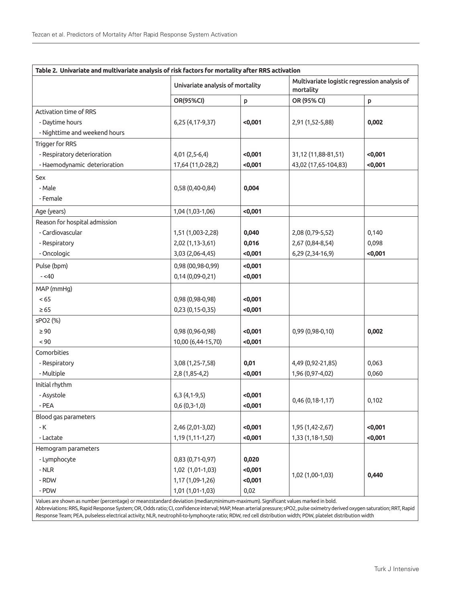| Table 2. Univariate and multivariate analysis of risk factors for mortality after RRS activation |                                  |        |                                                           |        |  |  |  |  |
|--------------------------------------------------------------------------------------------------|----------------------------------|--------|-----------------------------------------------------------|--------|--|--|--|--|
|                                                                                                  | Univariate analysis of mortality |        | Multivariate logistic regression analysis of<br>mortality |        |  |  |  |  |
|                                                                                                  | OR(95%CI)                        | p      | OR (95% CI)                                               | p      |  |  |  |  |
| Activation time of RRS                                                                           |                                  |        |                                                           |        |  |  |  |  |
| - Daytime hours                                                                                  | 6,25 (4,17-9,37)                 | <0,001 | 2,91 (1,52-5,88)                                          | 0,002  |  |  |  |  |
| - Nighttime and weekend hours                                                                    |                                  |        |                                                           |        |  |  |  |  |
| Trigger for RRS                                                                                  |                                  |        |                                                           |        |  |  |  |  |
| - Respiratory deterioration                                                                      | 4,01 (2,5-6,4)                   | <0,001 | 31,12 (11,88-81,51)                                       | <0,001 |  |  |  |  |
| - Haemodynamic deterioration                                                                     | 17,64 (11,0-28,2)                | <0,001 | 43,02 (17,65-104,83)                                      | <0,001 |  |  |  |  |
| Sex                                                                                              |                                  |        |                                                           |        |  |  |  |  |
| - Male                                                                                           | 0,58 (0,40-0,84)                 | 0,004  |                                                           |        |  |  |  |  |
| - Female                                                                                         |                                  |        |                                                           |        |  |  |  |  |
| Age (years)                                                                                      | 1,04 (1,03-1,06)                 | <0,001 |                                                           |        |  |  |  |  |
| Reason for hospital admission                                                                    |                                  |        |                                                           |        |  |  |  |  |
| - Cardiovascular                                                                                 | 1,51 (1,003-2,28)                | 0,040  | 2,08 (0,79-5,52)                                          | 0,140  |  |  |  |  |
| - Respiratory                                                                                    | 2,02 (1,13-3,61)                 | 0,016  | 2,67 (0,84-8,54)                                          | 0,098  |  |  |  |  |
| - Oncologic                                                                                      | 3,03 (2,06-4,45)                 | <0,001 | 6,29 (2,34-16,9)                                          | <0,001 |  |  |  |  |
| Pulse (bpm)                                                                                      | 0,98 (00,98-0,99)                | <0,001 |                                                           |        |  |  |  |  |
| $-<$ 40                                                                                          | 0,14 (0,09-0,21)                 | <0,001 |                                                           |        |  |  |  |  |
| MAP (mmHg)                                                                                       |                                  |        |                                                           |        |  |  |  |  |
| < 65                                                                                             | 0,98 (0,98-0,98)                 | <0,001 |                                                           |        |  |  |  |  |
| $\geq 65$                                                                                        | 0,23 (0,15-0,35)                 | <0,001 |                                                           |        |  |  |  |  |
| sPO2 (%)                                                                                         |                                  |        |                                                           |        |  |  |  |  |
| $\geq 90$                                                                                        | 0,98 (0,96-0,98)                 | <0,001 | 0,99 (0,98-0,10)                                          | 0,002  |  |  |  |  |
| < 90                                                                                             | 10,00 (6,44-15,70)               | <0,001 |                                                           |        |  |  |  |  |
| Comorbities                                                                                      |                                  |        |                                                           |        |  |  |  |  |
| - Respiratory                                                                                    | 3,08 (1,25-7,58)                 | 0,01   | 4,49 (0,92-21,85)                                         | 0,063  |  |  |  |  |
| - Multiple                                                                                       | 2,8 (1,85-4,2)                   | <0,001 | 1,96 (0,97-4,02)                                          | 0,060  |  |  |  |  |
| Initial rhythm                                                                                   |                                  |        |                                                           |        |  |  |  |  |
| - Asystole                                                                                       | $6,3(4,1-9,5)$                   | <0,001 |                                                           |        |  |  |  |  |
| - PEA                                                                                            | $0,6(0,3-1,0)$                   | <0,001 | $0,46(0,18-1,17)$                                         | 0,102  |  |  |  |  |
| Blood gas parameters                                                                             |                                  |        |                                                           |        |  |  |  |  |
| $\mathsf{-K}$                                                                                    | 2,46 (2,01-3,02)                 | <0,001 | 1,95 (1,42-2,67)                                          | <0,001 |  |  |  |  |
| - Lactate                                                                                        | 1,19 (1,11-1,27)                 | <0,001 | 1,33 (1,18-1,50)                                          | <0,001 |  |  |  |  |
| Hemogram parameters                                                                              |                                  |        |                                                           |        |  |  |  |  |
| - Lymphocyte                                                                                     | 0,83 (0,71-0,97)                 | 0,020  |                                                           |        |  |  |  |  |
| $-NLR$                                                                                           | 1,02 (1,01-1,03)                 | <0,001 | 1,02 (1,00-1,03)                                          | 0,440  |  |  |  |  |
| $-RDW$                                                                                           | 1,17 (1,09-1,26)                 | <0,001 |                                                           |        |  |  |  |  |
| - PDW                                                                                            | 1,01 (1,01-1,03)                 | 0,02   |                                                           |        |  |  |  |  |

Values are shown as number (percentage) or mean±standard deviation (median;minimum-maximum). Significant values marked in bold.

Abbreviations: RRS, Rapid Response System; OR, Odds ratio; CI, confidence interval; MAP, Mean arterial pressure; sPO2, pulse oximetry derived oxygen saturation; RRT, Rapid Response Team; PEA, pulseless electrical activity; NLR, neutrophil-to-lymphocyte ratio; RDW, red cell distribution width; PDW, platelet distribution width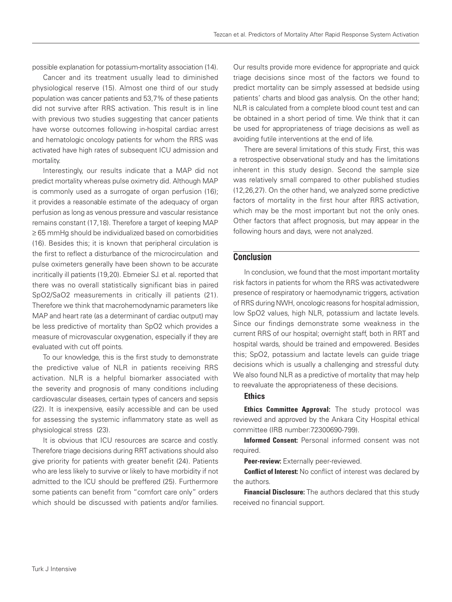possible explanation for potassium-mortality association (14).

Cancer and its treatment usually lead to diminished physiological reserve (15). Almost one third of our study population was cancer patients and 53,7% of these patients did not survive after RRS activation. This result is in line with previous two studies suggesting that cancer patients have worse outcomes following in-hospital cardiac arrest and hematologic oncology patients for whom the RRS was activated have high rates of subsequent ICU admission and mortality.

Interestingly, our results indicate that a MAP did not predict mortality whereas pulse oximetry did. Although MAP is commonly used as a surrogate of organ perfusion (16); it provides a reasonable estimate of the adequacy of organ perfusion as long as venous pressure and vascular resistance remains constant (17,18). Therefore a target of keeping MAP ≥ 65 mmHg should be individualized based on comorbidities (16). Besides this; it is known that peripheral circulation is the first to reflect a disturbance of the microcirculation and pulse oximeters generally have been shown to be accurate incritically ill patients (19,20). Ebmeier SJ. et al. reported that there was no overall statistically significant bias in paired SpO2/SaO2 measurements in critically ill patients (21). Therefore we think that macrohemodynamic parameters like MAP and heart rate (as a determinant of cardiac output) may be less predictive of mortality than SpO2 which provides a measure of microvascular oxygenation, especially if they are evaluated with cut off points.

To our knowledge, this is the first study to demonstrate the predictive value of NLR in patients receiving RRS activation. NLR is a helpful biomarker associated with the severity and prognosis of many conditions including cardiovascular diseases, certain types of cancers and sepsis (22). It is inexpensive, easily accessible and can be used for assessing the systemic inflammatory state as well as physiological stress (23).

It is obvious that ICU resources are scarce and costly. Therefore triage decisions during RRT activations should also give priority for patients with greater benefit (24). Patients who are less likely to survive or likely to have morbidity if not admitted to the ICU should be preffered (25). Furthermore some patients can benefit from "comfort care only" orders which should be discussed with patients and/or families.

Our results provide more evidence for appropriate and quick triage decisions since most of the factors we found to predict mortality can be simply assessed at bedside using patients' charts and blood gas analysis. On the other hand; NLR is calculated from a complete blood count test and can be obtained in a short period of time. We think that it can be used for appropriateness of triage decisions as well as avoiding futile interventions at the end of life.

There are several limitations of this study. First, this was a retrospective observational study and has the limitations inherent in this study design. Second the sample size was relatively small compared to other published studies (12,26,27). On the other hand, we analyzed some predictive factors of mortality in the first hour after RRS activation, which may be the most important but not the only ones. Other factors that affect prognosis, but may appear in the following hours and days, were not analyzed.

### **Conclusion**

In conclusion, we found that the most important mortality risk factors in patients for whom the RRS was activatedwere presence of respiratory or haemodynamic triggers, activation of RRS during NWH, oncologic reasons for hospital admission, low SpO2 values, high NLR, potassium and lactate levels. Since our findings demonstrate some weakness in the current RRS of our hospital; overnight staff, both in RRT and hospital wards, should be trained and empowered. Besides this; SpO2, potassium and lactate levels can guide triage decisions which is usually a challenging and stressful duty. We also found NLR as a predictive of mortality that may help to reevaluate the appropriateness of these decisions.

### **Ethics**

**Ethics Committee Approval:** The study protocol was reviewed and approved by the Ankara City Hospital ethical committee (IRB number:72300690-799).

Informed Consent: Personal informed consent was not required.

Peer-review: Externally peer-reviewed.

**Conflict of Interest:** No conflict of interest was declared by the authors.

**Financial Disclosure:** The authors declared that this study received no financial support.